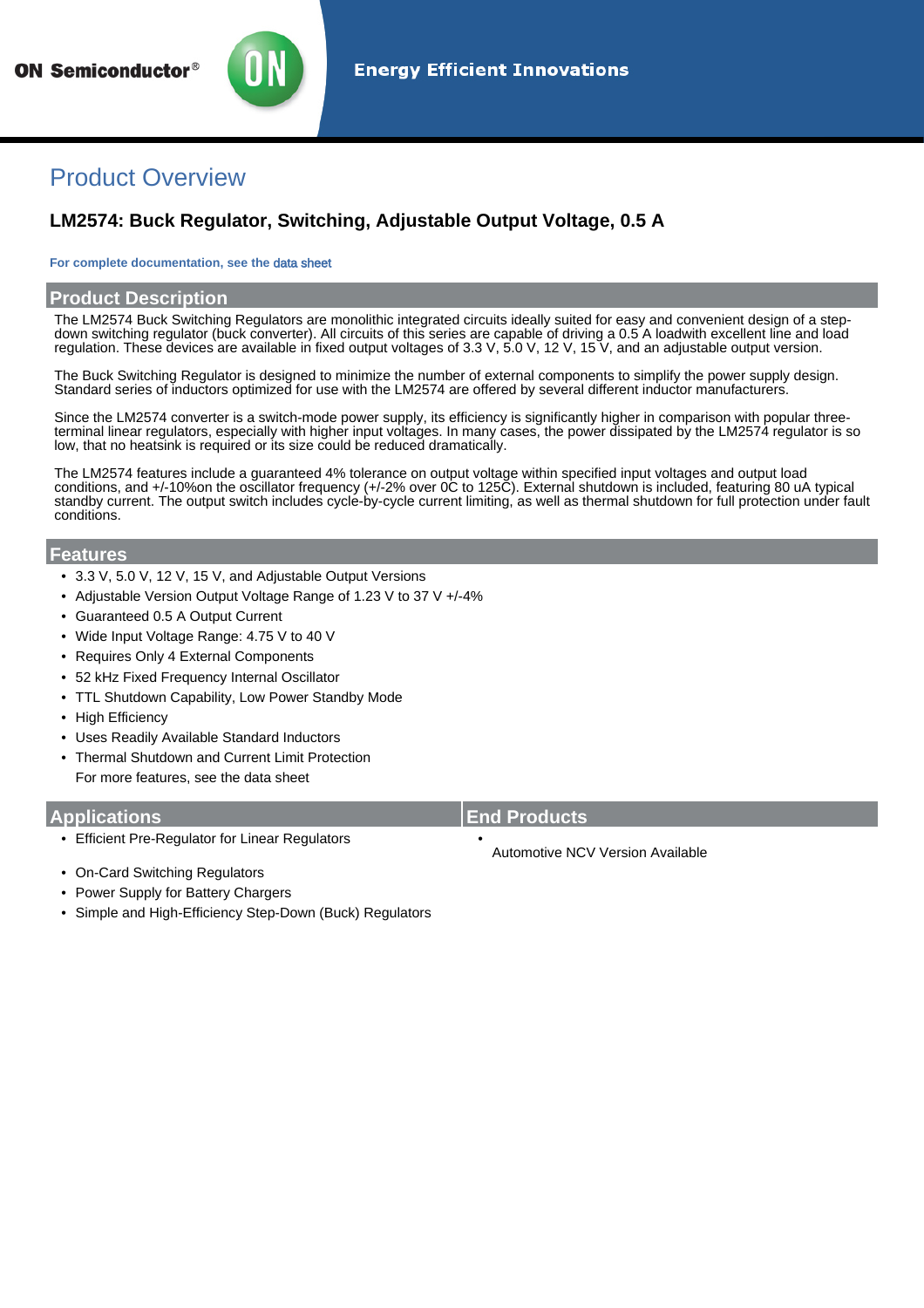

## Product Overview

### **LM2574: Buck Regulator, Switching, Adjustable Output Voltage, 0.5 A**

#### **For complete documentation, see the** [data sheet](http://www.onsemi.com/PowerSolutions/product.do?id=LM2574)

### **Product Description**

The LM2574 Buck Switching Regulators are monolithic integrated circuits ideally suited for easy and convenient design of a stepdown switching regulator (buck converter). All circuits of this series are capable of driving a 0.5 A loadwith excellent line and load regulation. These devices are available in fixed output voltages of 3.3 V, 5.0 V, 12 V, 15 V, and an adjustable output version.

The Buck Switching Regulator is designed to minimize the number of external components to simplify the power supply design. Standard series of inductors optimized for use with the LM2574 are offered by several different inductor manufacturers.

Since the LM2574 converter is a switch-mode power supply, its efficiency is significantly higher in comparison with popular threeterminal linear regulators, especially with higher input voltages. In many cases, the power dissipated by the LM2574 regulator is so low, that no heatsink is required or its size could be reduced dramatically.

The LM2574 features include a guaranteed 4% tolerance on output voltage within specified input voltages and output load conditions, and +/-10%on the oscillator frequency (+/-2% over 0C to 125C). External shutdown is included, featuring 80 uA typical standby current. The output switch includes cycle-by-cycle current limiting, as well as thermal shutdown for full protection under fault conditions.

#### **Features**

- 3.3 V, 5.0 V, 12 V, 15 V, and Adjustable Output Versions
- Adjustable Version Output Voltage Range of 1.23 V to 37 V +/-4%
- Guaranteed 0.5 A Output Current
- Wide Input Voltage Range: 4.75 V to 40 V
- Requires Only 4 External Components
- 52 kHz Fixed Frequency Internal Oscillator
- TTL Shutdown Capability, Low Power Standby Mode
- High Efficiency
- Uses Readily Available Standard Inductors
- Thermal Shutdown and Current Limit Protection For more features, see the [data sheet](http://www.onsemi.com/PowerSolutions/product.do?id=LM2574)

- Efficient Pre-Regulator for Linear Regulators •
- On-Card Switching Regulators
- Power Supply for Battery Chargers
- Simple and High-Efficiency Step-Down (Buck) Regulators

#### **Applications End Products**

Automotive NCV Version Available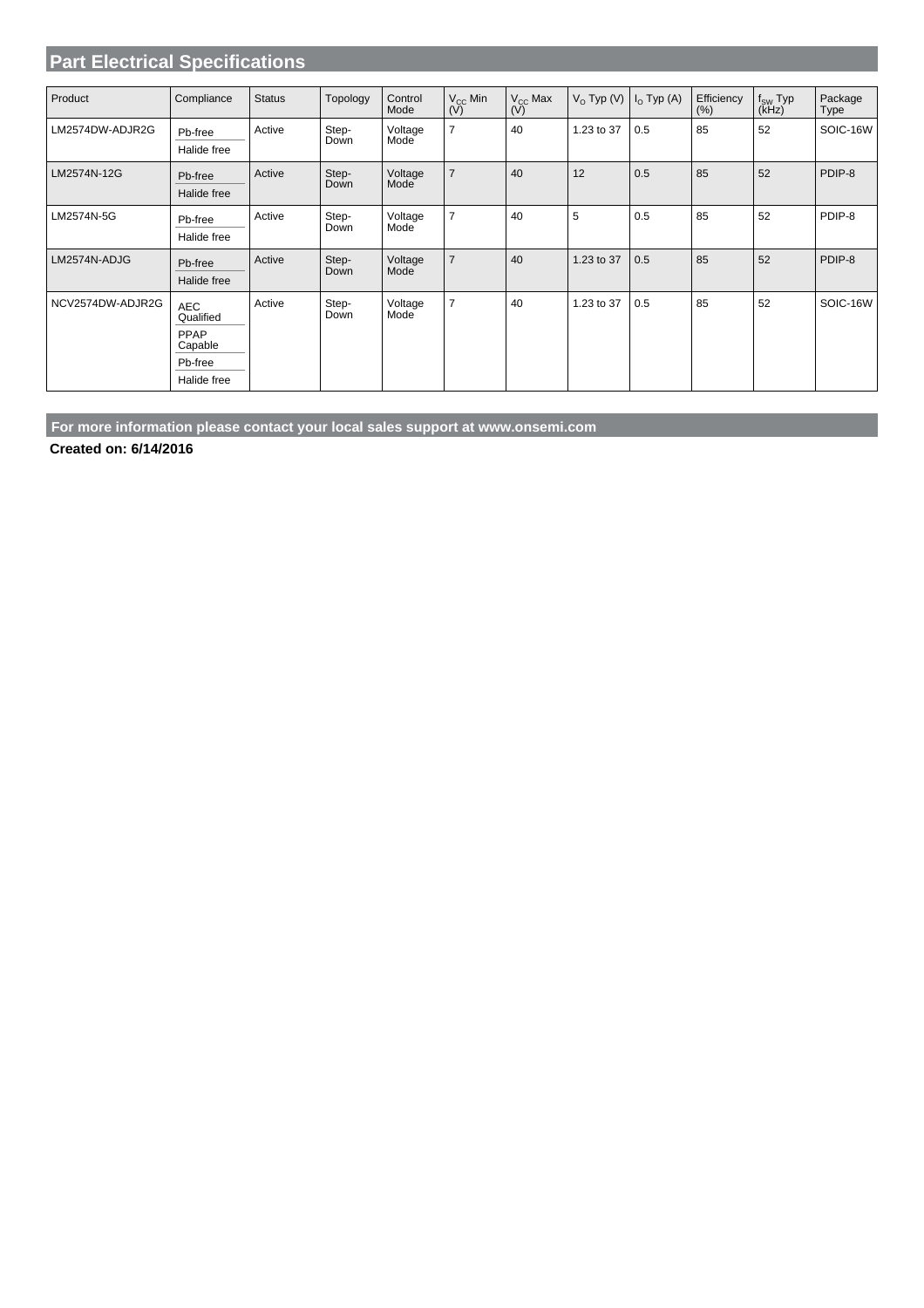### **Part Electrical Specifications**

| Product          | Compliance              | <b>Status</b> | Topology      | Control<br>Mode | $V_{CC}$ Min<br>(V) | $V_{CC}$ Max<br>(V) | $V_{O}$ Typ (V) | $I_{O}$ Typ (A) | Efficiency<br>(% ) | $f_{SW}$ Typ<br>(kHz) | Package<br>Type |
|------------------|-------------------------|---------------|---------------|-----------------|---------------------|---------------------|-----------------|-----------------|--------------------|-----------------------|-----------------|
| LM2574DW-ADJR2G  | Pb-free<br>Halide free  | Active        | Step-<br>Down | Voltage<br>Mode | $\overline{7}$      | 40                  | 1.23 to 37      | 0.5             | 85                 | 52                    | SOIC-16W        |
| LM2574N-12G      | Pb-free<br>Halide free  | Active        | Step-<br>Down | Voltage<br>Mode | $\overline{7}$      | 40                  | 12              | 0.5             | 85                 | 52                    | PDIP-8          |
| LM2574N-5G       | Pb-free<br>Halide free  | Active        | Step-<br>Down | Voltage<br>Mode | $\overline{7}$      | 40                  | 5               | 0.5             | 85                 | 52                    | PDIP-8          |
| LM2574N-ADJG     | Pb-free<br>Halide free  | Active        | Step-<br>Down | Voltage<br>Mode | $\overline{7}$      | 40                  | 1.23 to 37      | 0.5             | 85                 | 52                    | PDIP-8          |
| NCV2574DW-ADJR2G | <b>AEC</b><br>Qualified | Active        | Step-<br>Down | Voltage<br>Mode | $\overline{7}$      | 40                  | 1.23 to 37      | 0.5             | 85                 | 52                    | SOIC-16W        |
|                  | PPAP<br>Capable         |               |               |                 |                     |                     |                 |                 |                    |                       |                 |
|                  | Pb-free                 |               |               |                 |                     |                     |                 |                 |                    |                       |                 |
|                  | Halide free             |               |               |                 |                     |                     |                 |                 |                    |                       |                 |

**For more information please contact your local sales support at www.onsemi.com**

**Created on: 6/14/2016**